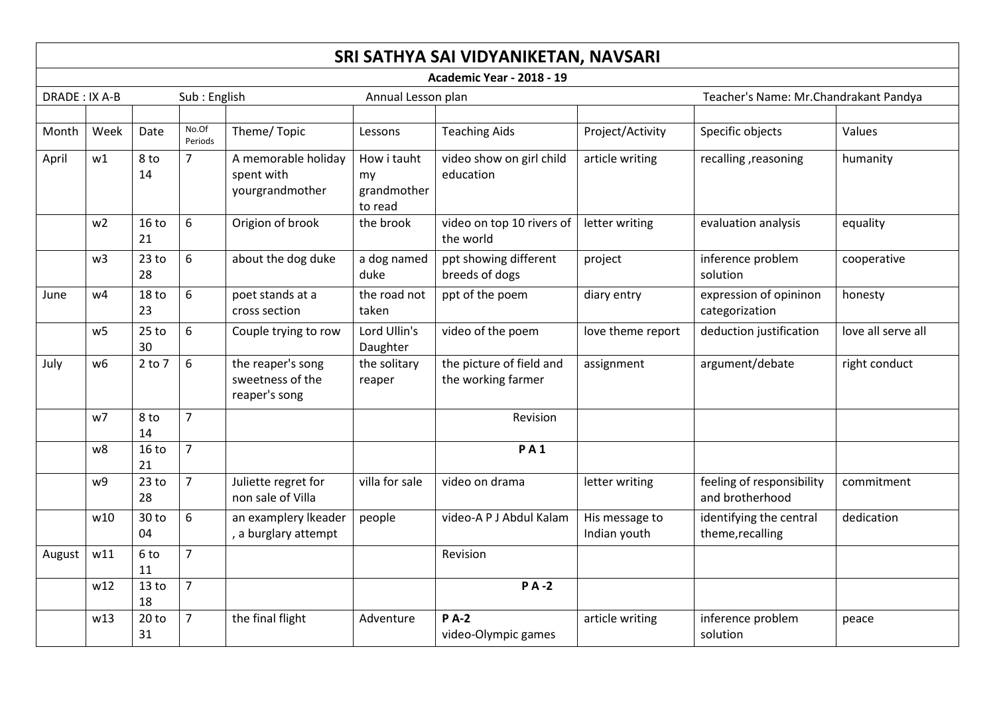|               |                                                              |                        |                          |                                                        |                                             | SRI SATHYA SAI VIDYANIKETAN, NAVSARI           |                                          |                                              |               |
|---------------|--------------------------------------------------------------|------------------------|--------------------------|--------------------------------------------------------|---------------------------------------------|------------------------------------------------|------------------------------------------|----------------------------------------------|---------------|
|               |                                                              |                        |                          |                                                        |                                             | <b>Academic Year - 2018 - 19</b>               |                                          |                                              |               |
| DRADE: IX A-B |                                                              |                        | Sub: English             |                                                        | Annual Lesson plan                          |                                                |                                          | Teacher's Name: Mr.Chandrakant Pandya        |               |
|               |                                                              |                        |                          |                                                        |                                             |                                                |                                          |                                              |               |
| Month         | Week                                                         | Date                   | No.Of<br>Periods         | Theme/Topic                                            | Lessons                                     | <b>Teaching Aids</b>                           | Project/Activity                         | Specific objects                             | Values        |
| April         | w1                                                           | 8 to<br>14             | $\overline{7}$           | A memorable holiday<br>spent with<br>yourgrandmother   | How i tauht<br>my<br>grandmother<br>to read | video show on girl child<br>education          | article writing                          | recalling, reasoning                         | humanity      |
|               | w <sub>2</sub>                                               | 16 <sub>to</sub><br>21 | 6                        | Origion of brook                                       | the brook                                   | video on top 10 rivers of<br>the world         | letter writing                           | evaluation analysis                          | equality      |
|               | w <sub>3</sub>                                               | $23$ to<br>28          | 6                        | about the dog duke                                     | a dog named<br>duke                         | ppt showing different<br>breeds of dogs        | project                                  | inference problem<br>solution                | cooperative   |
| June          | 6<br>18 <sub>to</sub><br>w4<br>23<br>cross section           |                        | poet stands at a         | the road not<br>taken                                  | ppt of the poem                             | diary entry                                    | expression of opininon<br>categorization | honesty                                      |               |
|               | $25$ to<br>6<br>w <sub>5</sub><br>Couple trying to row<br>30 |                        | Lord Ullin's<br>Daughter | video of the poem                                      | love theme report                           | deduction justification                        | love all serve all                       |                                              |               |
| July          | w6                                                           | $2$ to $7$             | 6                        | the reaper's song<br>sweetness of the<br>reaper's song | the solitary<br>reaper                      | the picture of field and<br>the working farmer | assignment                               | argument/debate                              | right conduct |
|               | w7                                                           | 8 to<br>14             | $\overline{7}$           |                                                        |                                             | Revision                                       |                                          |                                              |               |
|               | w8                                                           | 16 <sub>to</sub><br>21 | $\overline{7}$           |                                                        |                                             | <b>PA1</b>                                     |                                          |                                              |               |
|               | w9                                                           | 23 <sub>to</sub><br>28 | $\overline{7}$           | Juliette regret for<br>non sale of Villa               | villa for sale                              | video on drama                                 | letter writing                           | feeling of responsibility<br>and brotherhood | commitment    |
|               | w10                                                          | 30 to<br>04            | 6                        | an examplery Ikeader<br>, a burglary attempt           | people                                      | video-A P J Abdul Kalam                        | His message to<br>Indian youth           | identifying the central<br>theme, recalling  | dedication    |
| August        | w11                                                          | 6 to<br>11             | $\overline{7}$           |                                                        |                                             | Revision                                       |                                          |                                              |               |
|               | w12                                                          | 13 <sub>to</sub><br>18 | $\overline{7}$           |                                                        |                                             | <b>PA-2</b>                                    |                                          |                                              |               |
|               | w13                                                          | 20 <sub>to</sub><br>31 | $\overline{7}$           | the final flight                                       | Adventure                                   | <b>PA-2</b><br>video-Olympic games             | article writing                          | inference problem<br>solution                | peace         |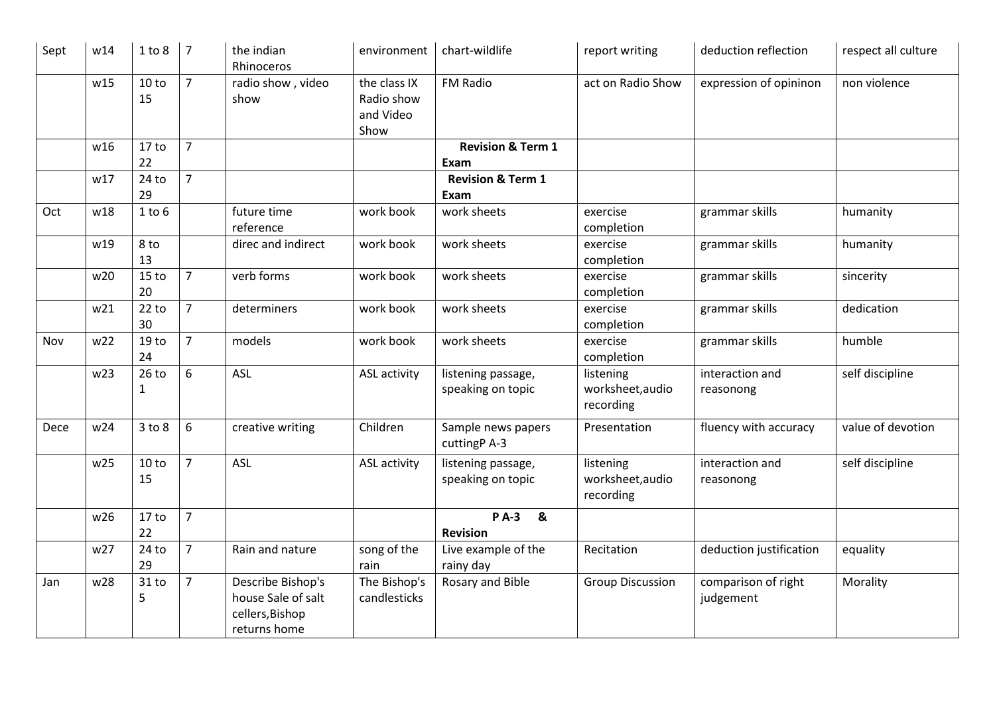| Sept | w14             | 1 to 8                 | $\overline{7}$ | the indian<br>Rhinoceros                                                   | environment                                     | chart-wildlife                          | report writing                             | deduction reflection             | respect all culture |
|------|-----------------|------------------------|----------------|----------------------------------------------------------------------------|-------------------------------------------------|-----------------------------------------|--------------------------------------------|----------------------------------|---------------------|
|      | w15             | 10 to<br>15            | $\overline{7}$ | radio show, video<br>show                                                  | the class IX<br>Radio show<br>and Video<br>Show | FM Radio                                | act on Radio Show                          | expression of opininon           | non violence        |
|      | w16             | 17 <sub>to</sub>       | $\overline{7}$ |                                                                            |                                                 | <b>Revision &amp; Term 1</b>            |                                            |                                  |                     |
|      |                 | 22                     |                |                                                                            |                                                 | Exam                                    |                                            |                                  |                     |
|      | w17             | 24 to<br>29            | $\overline{7}$ |                                                                            |                                                 | <b>Revision &amp; Term 1</b><br>Exam    |                                            |                                  |                     |
| Oct  | w18             | $1$ to $6$             |                | future time                                                                | work book                                       | work sheets                             | exercise                                   | grammar skills                   | humanity            |
|      |                 |                        |                | reference                                                                  |                                                 |                                         | completion                                 |                                  |                     |
|      | w19             | 8 to<br>13             |                | direc and indirect                                                         | work book                                       | work sheets                             | exercise<br>completion                     | grammar skills                   | humanity            |
|      | w20             | 15 <sub>to</sub><br>20 | $\overline{7}$ | verb forms                                                                 | work book                                       | work sheets                             | exercise<br>completion                     | grammar skills                   | sincerity           |
|      | w21             | 22 to<br>30            | $\overline{7}$ | determiners                                                                | work book                                       | work sheets                             | exercise<br>completion                     | grammar skills                   | dedication          |
| Nov  | w22             | 19 <sub>to</sub><br>24 | $\overline{7}$ | models                                                                     | work book                                       | work sheets                             | exercise<br>completion                     | grammar skills                   | humble              |
|      | w23             | $26$ to<br>$\mathbf 1$ | 6              | <b>ASL</b>                                                                 | ASL activity                                    | listening passage,<br>speaking on topic | listening<br>worksheet, audio<br>recording | interaction and<br>reasonong     | self discipline     |
| Dece | w24             | $3$ to $8$             | 6              | creative writing                                                           | Children                                        | Sample news papers<br>cuttingP A-3      | Presentation                               | fluency with accuracy            | value of devotion   |
|      | w25             | 10 to<br>15            | $\overline{7}$ | <b>ASL</b>                                                                 | <b>ASL activity</b>                             | listening passage,<br>speaking on topic | listening<br>worksheet, audio<br>recording | interaction and<br>reasonong     | self discipline     |
|      | w26             | 17 <sub>to</sub>       | $\overline{7}$ |                                                                            |                                                 | <b>PA-3</b><br>$\boldsymbol{8}$         |                                            |                                  |                     |
|      |                 | 22                     |                |                                                                            |                                                 | <b>Revision</b>                         |                                            |                                  |                     |
|      | w27             | 24 to<br>29            | $\overline{7}$ | Rain and nature                                                            | song of the<br>rain                             | Live example of the<br>rainy day        | Recitation                                 | deduction justification          | equality            |
| Jan  | w <sub>28</sub> | 31 to<br>5             | $\overline{7}$ | Describe Bishop's<br>house Sale of salt<br>cellers, Bishop<br>returns home | The Bishop's<br>candlesticks                    | Rosary and Bible                        | <b>Group Discussion</b>                    | comparison of right<br>judgement | Morality            |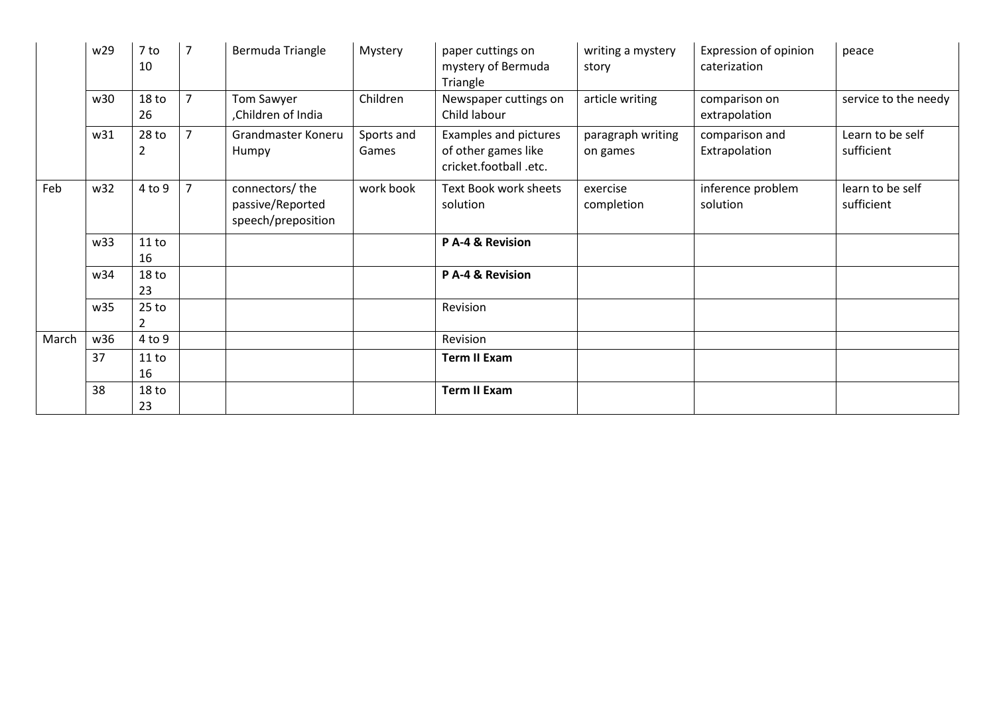|       | w29 | 7 to<br>10             | $\overline{7}$ | Bermuda Triangle                                         | Mystery             | paper cuttings on<br>mystery of Bermuda<br>Triangle                    | writing a mystery<br>story    | Expression of opinion<br>caterization | peace                          |
|-------|-----|------------------------|----------------|----------------------------------------------------------|---------------------|------------------------------------------------------------------------|-------------------------------|---------------------------------------|--------------------------------|
|       | w30 | 18 <sub>to</sub><br>26 | $\overline{7}$ | Tom Sawyer<br>Children of India                          | Children            | Newspaper cuttings on<br>Child labour                                  | article writing               | comparison on<br>extrapolation        | service to the needy           |
|       | w31 | 28 <sub>to</sub><br>2  | $\overline{7}$ | Grandmaster Koneru<br>Humpy                              | Sports and<br>Games | Examples and pictures<br>of other games like<br>cricket.football .etc. | paragraph writing<br>on games | comparison and<br>Extrapolation       | Learn to be self<br>sufficient |
| Feb   | w32 | 4 to 9                 | $\overline{7}$ | connectors/the<br>passive/Reported<br>speech/preposition | work book           | Text Book work sheets<br>solution                                      | exercise<br>completion        | inference problem<br>solution         | learn to be self<br>sufficient |
|       | w33 | 11 to<br>16            |                |                                                          |                     | P A-4 & Revision                                                       |                               |                                       |                                |
|       | w34 | 18 <sub>to</sub><br>23 |                |                                                          |                     | P A-4 & Revision                                                       |                               |                                       |                                |
|       | w35 | $25$ to<br>2           |                |                                                          |                     | Revision                                                               |                               |                                       |                                |
| March | w36 | $4$ to $9$             |                |                                                          |                     | Revision                                                               |                               |                                       |                                |
|       | 37  | 11 to<br>16            |                |                                                          |                     | <b>Term II Exam</b>                                                    |                               |                                       |                                |
|       | 38  | 18 <sub>to</sub><br>23 |                |                                                          |                     | <b>Term II Exam</b>                                                    |                               |                                       |                                |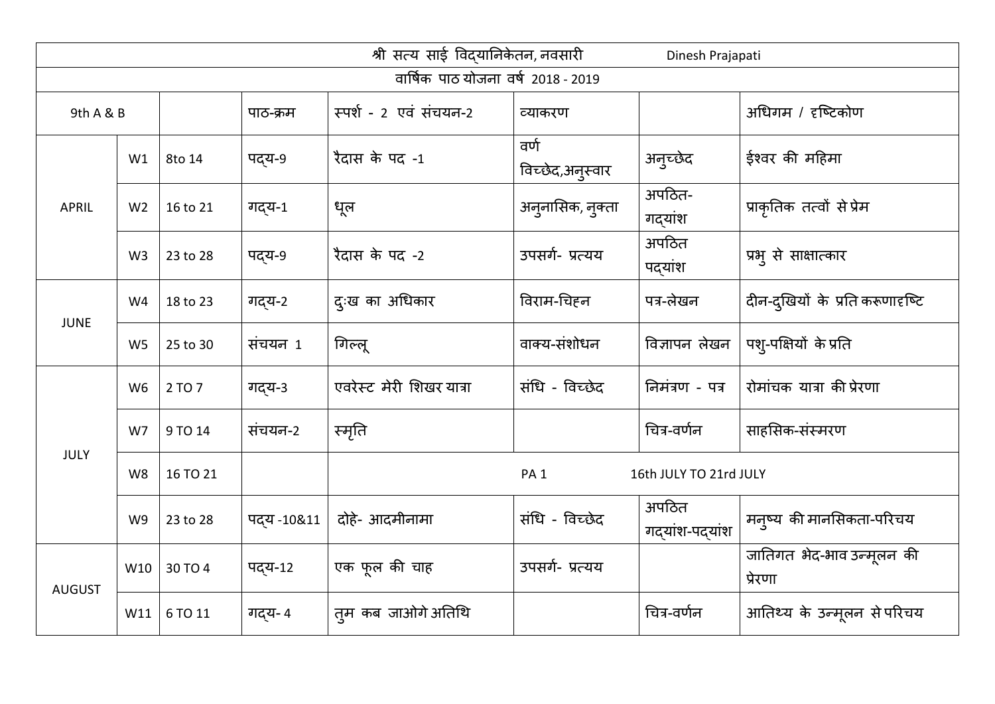|               |                |          |            | श्री सत्य साई विद्यानिकेतन, नवसारी |                          | Dinesh Prajapati         |                                      |
|---------------|----------------|----------|------------|------------------------------------|--------------------------|--------------------------|--------------------------------------|
|               |                |          |            | वार्षिक पाठ योजना वर्ष 2018 - 2019 |                          |                          |                                      |
| 9th A & B     |                |          | पाठ-क्रम   | स्पर्श - 2 एवं संचयन-2             | व्याकरण                  |                          | अधिगम / दृष्टिकोण                    |
|               | W1             | 8to 14   | पद्य-९     | रैदास के पद -1                     | वर्ण<br>विच्छेद,अनुस्वार | अनुच्छेद                 | ईश्वर की महिमा                       |
| <b>APRIL</b>  | W <sub>2</sub> | 16 to 21 | गद्य-1     | धूल                                | अनुनासिक, नुक्ता         | अपठित-<br>गद्यांश        | प्राकृतिक तत्वों से प्रेम            |
|               | W <sub>3</sub> | 23 to 28 | पद्य-९     | रैदास के पद -2                     | उपसर्ग- प्रत्यय          | अपठित<br>पद्यांश         | प्रभ् से साक्षात्कार                 |
| <b>JUNE</b>   | W4             | 18 to 23 | गद्य-2     | दुःख का अधिकार                     | विराम-चिहन               | पत्र-लेखन                | दीन-दुखियों के प्रति करूणादृष्टि     |
|               | W <sub>5</sub> | 25 to 30 | संचयन 1    | गिल्लू                             | वाक्य-संशोधन             | विज्ञापन लेखन            | पश्-पक्षियों के प्रति                |
|               | W <sub>6</sub> | 2 TO 7   | गद्य-3     | एवरेस्ट मेरी शिखर यात्रा           | संधि - विच्छेद           | निमंत्रण - पत्र          | रोमांचक यात्रा की प्रेरणा            |
|               | W7             | 9 TO 14  | संचयन-2    | स्मृति                             |                          | चित्र-वर्णन              | साहसिक-संस्मरण                       |
| <b>JULY</b>   | W <sub>8</sub> | 16 TO 21 |            |                                    | PA <sub>1</sub>          | 16th JULY TO 21rd JULY   |                                      |
|               | W <sub>9</sub> | 23 to 28 | पदय -10&11 | दोहे- आदमीनामा                     | संधि - विच्छेद           | अपठित<br>गद्यांश-पद्यांश | मन्ष्य की मानसिकता-परिचय             |
| <b>AUGUST</b> | W10            | 30 TO 4  | पद्य-12    | एक फूल की चाह                      | उपसर्ग- प्रत्यय          |                          | जातिगत भेद-भाव उन्मूलन की<br>प्रेरणा |
|               | W11            | 6 TO 11  | गदय- 4     | त़्म कब जाओगे अतिथि                |                          | चित्र-वर्णन              | आतिथ्य के उन्मूलन से परिचय           |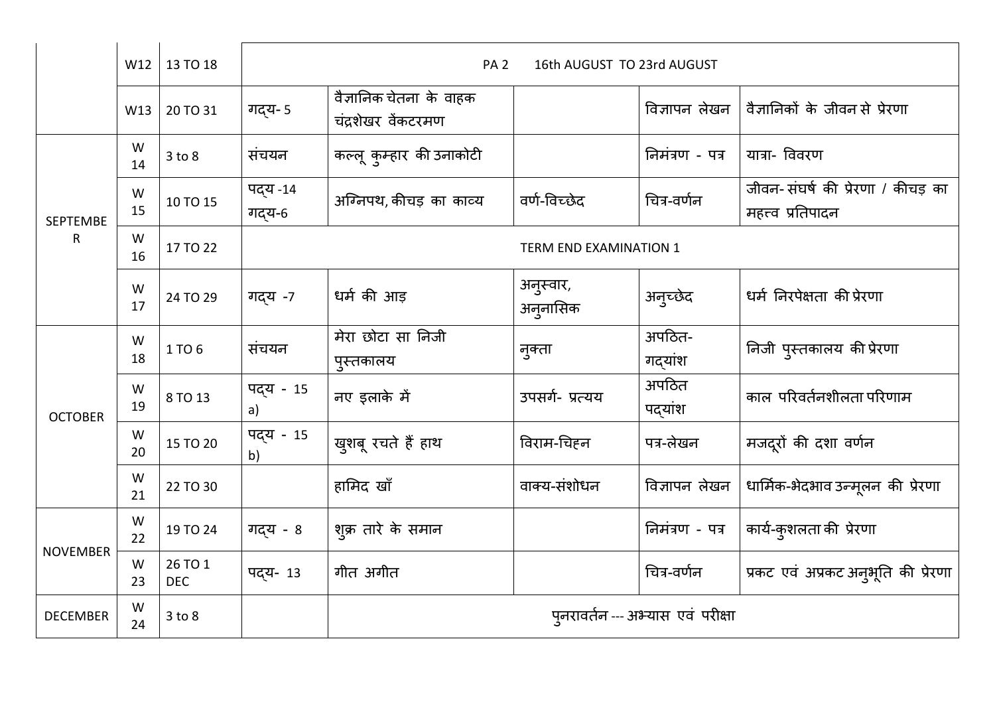|                 | W12     | 13 TO 18                                    |                               | PA <sub>2</sub>                               | 16th AUGUST TO 23rd AUGUST |                   |                                                        |  |  |
|-----------------|---------|---------------------------------------------|-------------------------------|-----------------------------------------------|----------------------------|-------------------|--------------------------------------------------------|--|--|
|                 | W13     | 20 TO 31                                    | गद्य- 5                       | वैज्ञानिक चेतना के वाहक<br>चंद्रशेखर वेंकटरमण |                            | विज्ञापन लेखन     | वैज्ञानिकों के जीवन से प्रेरणा                         |  |  |
|                 | W<br>14 | 3 to 8                                      | संचयन                         | कल्लू कुम्हार की उनाकोटी                      |                            | निमंत्रण - पत्र   | यात्रा- विवरण                                          |  |  |
| <b>SEPTEMBE</b> | W<br>15 | 10 TO 15                                    | पद्य -14<br>गद्य-6            | अग्निपथ, कीचड़ का काव्य                       | वर्ण-विच्छेद               | चित्र-वर्णन       | जीवन-संघर्ष की प्रेरणा / कीचड़ का<br>महत्त्व प्रतिपादन |  |  |
| $\mathsf R$     | W<br>16 | 17 TO 22                                    | <b>TERM END EXAMINATION 1</b> |                                               |                            |                   |                                                        |  |  |
|                 | W<br>17 | 24 TO 29                                    | गदय -7                        | धर्म की आड़                                   | अनुस्वार,<br>अन्जनासिक     | अन्च्छेद          | धर्म निरपेक्षता की प्रेरणा                             |  |  |
|                 | W<br>18 | 1 TO 6                                      | संचयन                         | मेरा छोटा सा निजी<br>पुस्तकालय                | नुक्ता                     | अपठित-<br>गद्यांश | निजी पुस्तकालय की प्रेरणा                              |  |  |
| <b>OCTOBER</b>  | W<br>19 | 8 TO 13                                     | पद्य - 15<br>a)               | नए इलाके में                                  | उपसर्ग- प्रत्यय            | अपठित<br>पद्यांश  | काल परिवर्तनशीलता परिणाम                               |  |  |
|                 | W<br>20 | 15 TO 20                                    | पद्य - 15<br>b)               | खुशबू रचते हैं हाथ                            | विराम-चिहन                 | पत्र-लेखन         | मजदूरों की दशा वर्णन                                   |  |  |
|                 | W<br>21 | 22 TO 30                                    |                               | हामिद खाँ                                     | वाक्य-संशोधन               | विज्ञापन लेखन     | धार्मिक-भेदभाव उन्मूलन की प्रेरणा                      |  |  |
|                 | W<br>22 | 19 TO 24                                    | गद्य - 8                      | शुक्र तारे के समान                            |                            | निमंत्रण - पत्र   | कार्य-कुशलता की प्रेरणा                                |  |  |
| <b>NOVEMBER</b> | W<br>23 | 26 TO 1<br><b>DEC</b>                       | पदय- 13                       | गीत अगीत                                      |                            | चित्र-वर्णन       | प्रकट एवं अप्रकट अनुभूति की प्रेरणा                    |  |  |
| <b>DECEMBER</b> | W<br>24 | पुनरावर्तन --- अभ्यास एवं परीक्षा<br>3 to 8 |                               |                                               |                            |                   |                                                        |  |  |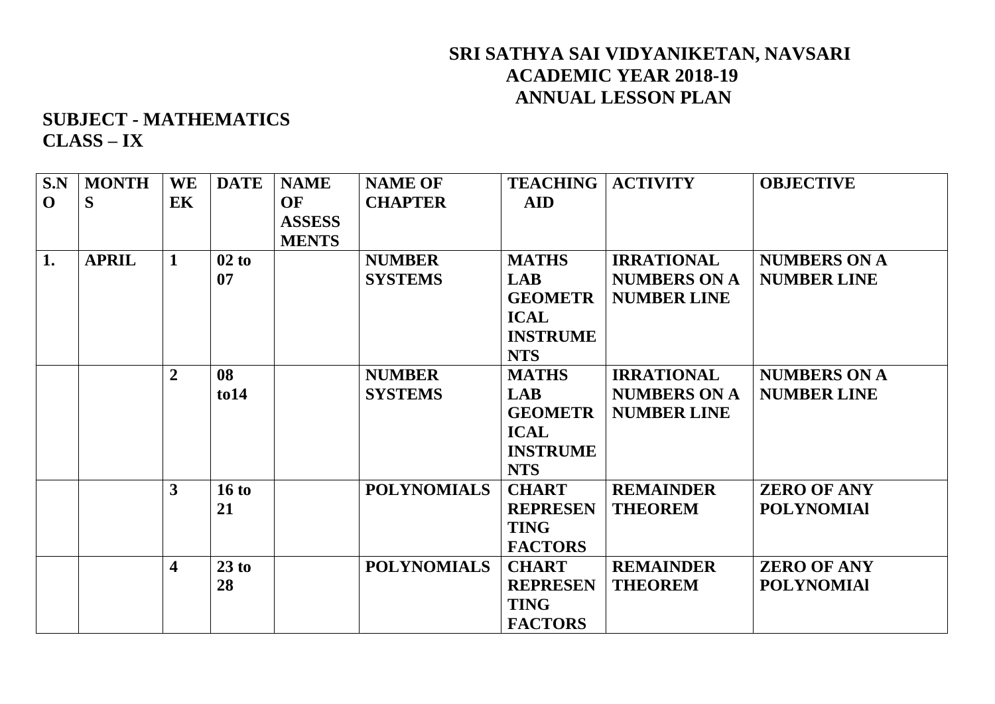### **SRI SATHYA SAI VIDYANIKETAN, NAVSARI ACADEMIC YEAR 2018-19 ANNUAL LESSON PLAN**

**SUBJECT - MATHEMATICS CLASS – IX** 

| S.N         | <b>MONTH</b> | <b>WE</b>      | <b>DATE</b>    | <b>NAME</b>   | <b>NAME OF</b>     | <b>TEACHING</b> | <b>ACTIVITY</b>     | <b>OBJECTIVE</b>    |
|-------------|--------------|----------------|----------------|---------------|--------------------|-----------------|---------------------|---------------------|
| $\mathbf 0$ | S            | <b>EK</b>      |                | OF            | <b>CHAPTER</b>     | <b>AID</b>      |                     |                     |
|             |              |                |                | <b>ASSESS</b> |                    |                 |                     |                     |
|             |              |                |                | <b>MENTS</b>  |                    |                 |                     |                     |
| 1.          | <b>APRIL</b> | $\mathbf{1}$   | 02 to          |               | <b>NUMBER</b>      | <b>MATHS</b>    | <b>IRRATIONAL</b>   | <b>NUMBERS ON A</b> |
|             |              |                | 07             |               | <b>SYSTEMS</b>     | <b>LAB</b>      | <b>NUMBERS ON A</b> | <b>NUMBER LINE</b>  |
|             |              |                |                |               |                    | <b>GEOMETR</b>  | <b>NUMBER LINE</b>  |                     |
|             |              |                |                |               |                    | <b>ICAL</b>     |                     |                     |
|             |              |                |                |               |                    | <b>INSTRUME</b> |                     |                     |
|             |              |                |                |               |                    | <b>NTS</b>      |                     |                     |
|             |              | $\overline{2}$ | 08             |               | <b>NUMBER</b>      | <b>MATHS</b>    | <b>IRRATIONAL</b>   | <b>NUMBERS ON A</b> |
|             |              |                | $\frac{1}{10}$ |               | <b>SYSTEMS</b>     | <b>LAB</b>      | <b>NUMBERS ON A</b> | <b>NUMBER LINE</b>  |
|             |              |                |                |               |                    | <b>GEOMETR</b>  | <b>NUMBER LINE</b>  |                     |
|             |              |                |                |               |                    | <b>ICAL</b>     |                     |                     |
|             |              |                |                |               |                    | <b>INSTRUME</b> |                     |                     |
|             |              |                |                |               |                    | <b>NTS</b>      |                     |                     |
|             |              | 3              | 16 to          |               | <b>POLYNOMIALS</b> | <b>CHART</b>    | <b>REMAINDER</b>    | <b>ZERO OF ANY</b>  |
|             |              |                | 21             |               |                    | <b>REPRESEN</b> | <b>THEOREM</b>      | <b>POLYNOMIAI</b>   |
|             |              |                |                |               |                    | <b>TING</b>     |                     |                     |
|             |              |                |                |               |                    | <b>FACTORS</b>  |                     |                     |
|             |              | 4              | 23 to          |               | <b>POLYNOMIALS</b> | <b>CHART</b>    | <b>REMAINDER</b>    | <b>ZERO OF ANY</b>  |
|             |              |                | 28             |               |                    | <b>REPRESEN</b> | <b>THEOREM</b>      | <b>POLYNOMIAI</b>   |
|             |              |                |                |               |                    | <b>TING</b>     |                     |                     |
|             |              |                |                |               |                    | <b>FACTORS</b>  |                     |                     |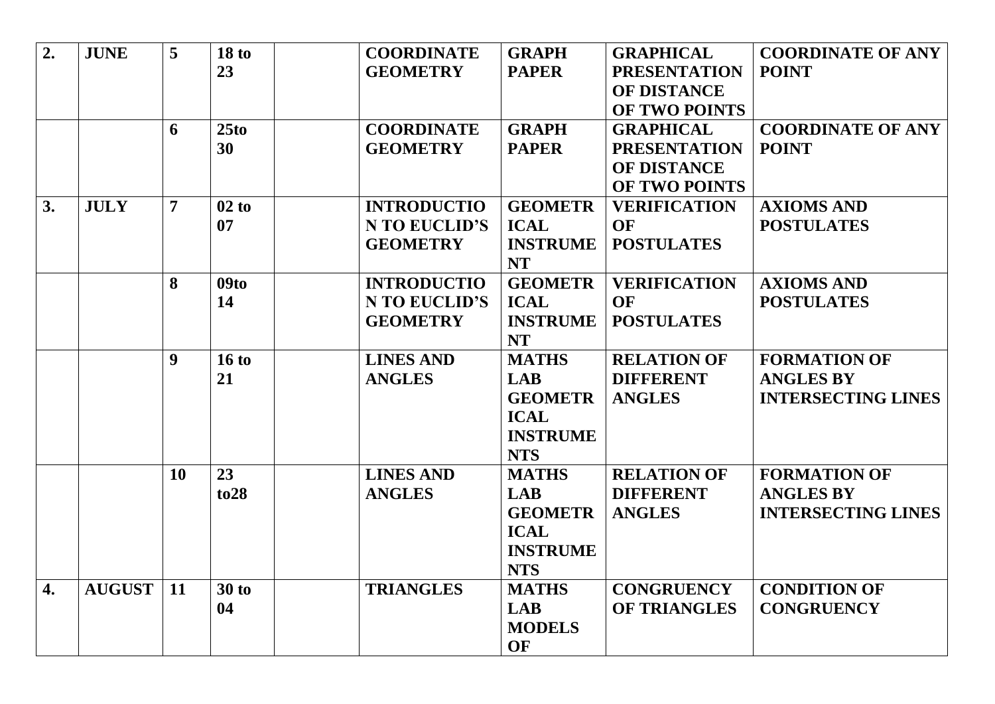| 2. | <b>JUNE</b>   | $\overline{5}$   | 18 <sub>to</sub> | <b>COORDINATE</b>    | <b>GRAPH</b>    | <b>GRAPHICAL</b>    | <b>COORDINATE OF ANY</b>  |
|----|---------------|------------------|------------------|----------------------|-----------------|---------------------|---------------------------|
|    |               |                  | 23               | <b>GEOMETRY</b>      | <b>PAPER</b>    | <b>PRESENTATION</b> | <b>POINT</b>              |
|    |               |                  |                  |                      |                 | OF DISTANCE         |                           |
|    |               |                  |                  |                      |                 | OF TWO POINTS       |                           |
|    |               | 6                | 25 <sub>to</sub> | <b>COORDINATE</b>    | <b>GRAPH</b>    | <b>GRAPHICAL</b>    | <b>COORDINATE OF ANY</b>  |
|    |               |                  | 30               | <b>GEOMETRY</b>      | <b>PAPER</b>    | <b>PRESENTATION</b> | <b>POINT</b>              |
|    |               |                  |                  |                      |                 | OF DISTANCE         |                           |
|    |               |                  |                  |                      |                 | OF TWO POINTS       |                           |
| 3. | <b>JULY</b>   | $\overline{7}$   | 02 to            | <b>INTRODUCTIO</b>   | <b>GEOMETR</b>  | <b>VERIFICATION</b> | <b>AXIOMS AND</b>         |
|    |               |                  | 07               | N TO EUCLID'S        | <b>ICAL</b>     | <b>OF</b>           | <b>POSTULATES</b>         |
|    |               |                  |                  | <b>GEOMETRY</b>      | <b>INSTRUME</b> | <b>POSTULATES</b>   |                           |
|    |               |                  |                  |                      | <b>NT</b>       |                     |                           |
|    |               | 8                | 09to             | <b>INTRODUCTIO</b>   | <b>GEOMETR</b>  | <b>VERIFICATION</b> | <b>AXIOMS AND</b>         |
|    |               |                  | 14               | <b>N TO EUCLID'S</b> | <b>ICAL</b>     | <b>OF</b>           | <b>POSTULATES</b>         |
|    |               |                  |                  | <b>GEOMETRY</b>      | <b>INSTRUME</b> | <b>POSTULATES</b>   |                           |
|    |               |                  |                  |                      | <b>NT</b>       |                     |                           |
|    |               | $\boldsymbol{9}$ | 16 to            | <b>LINES AND</b>     | <b>MATHS</b>    | <b>RELATION OF</b>  | <b>FORMATION OF</b>       |
|    |               |                  | 21               | <b>ANGLES</b>        | <b>LAB</b>      | <b>DIFFERENT</b>    | <b>ANGLES BY</b>          |
|    |               |                  |                  |                      | <b>GEOMETR</b>  | <b>ANGLES</b>       | <b>INTERSECTING LINES</b> |
|    |               |                  |                  |                      | <b>ICAL</b>     |                     |                           |
|    |               |                  |                  |                      | <b>INSTRUME</b> |                     |                           |
|    |               |                  |                  |                      | <b>NTS</b>      |                     |                           |
|    |               | <b>10</b>        | 23               | <b>LINES AND</b>     | <b>MATHS</b>    | <b>RELATION OF</b>  | <b>FORMATION OF</b>       |
|    |               |                  | to 28            | <b>ANGLES</b>        | <b>LAB</b>      | <b>DIFFERENT</b>    | <b>ANGLES BY</b>          |
|    |               |                  |                  |                      | <b>GEOMETR</b>  | <b>ANGLES</b>       | <b>INTERSECTING LINES</b> |
|    |               |                  |                  |                      | <b>ICAL</b>     |                     |                           |
|    |               |                  |                  |                      | <b>INSTRUME</b> |                     |                           |
|    |               |                  |                  |                      | <b>NTS</b>      |                     |                           |
| 4. | <b>AUGUST</b> | <b>11</b>        | $30$ to          | <b>TRIANGLES</b>     | <b>MATHS</b>    | <b>CONGRUENCY</b>   | <b>CONDITION OF</b>       |
|    |               |                  | 04               |                      | <b>LAB</b>      | <b>OF TRIANGLES</b> | <b>CONGRUENCY</b>         |
|    |               |                  |                  |                      | <b>MODELS</b>   |                     |                           |
|    |               |                  |                  |                      | <b>OF</b>       |                     |                           |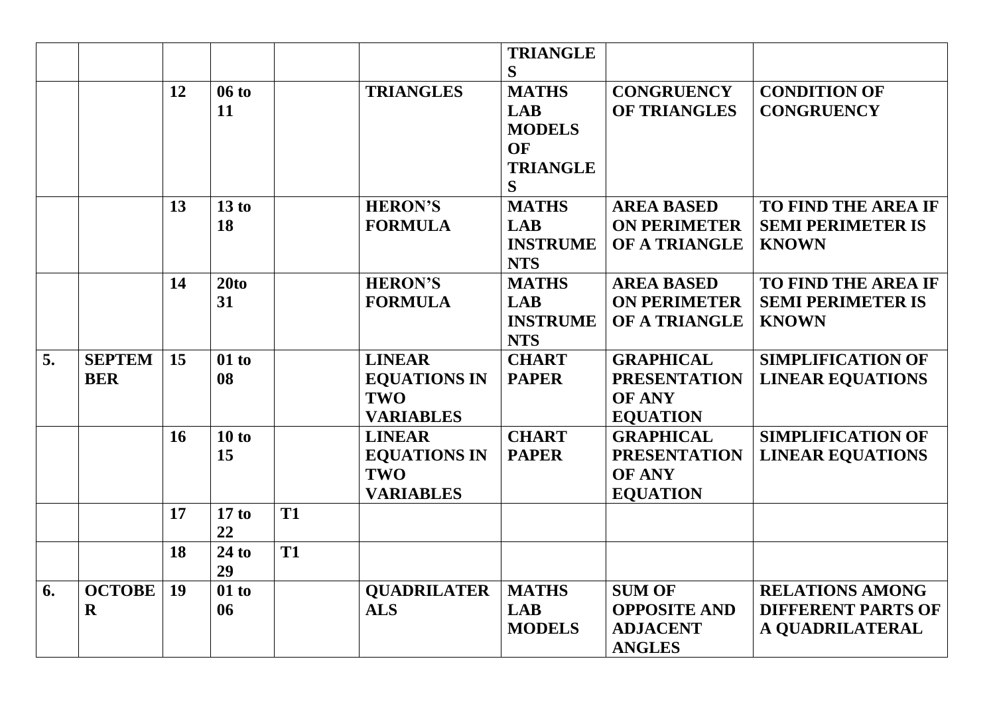|    |               |    |                  |           |                     | <b>TRIANGLE</b> |                     |                            |
|----|---------------|----|------------------|-----------|---------------------|-----------------|---------------------|----------------------------|
|    |               |    |                  |           |                     | S               |                     |                            |
|    |               | 12 | 06 to            |           | <b>TRIANGLES</b>    | <b>MATHS</b>    | <b>CONGRUENCY</b>   | <b>CONDITION OF</b>        |
|    |               |    | 11               |           |                     | <b>LAB</b>      | <b>OF TRIANGLES</b> | <b>CONGRUENCY</b>          |
|    |               |    |                  |           |                     |                 |                     |                            |
|    |               |    |                  |           |                     | <b>MODELS</b>   |                     |                            |
|    |               |    |                  |           |                     | OF              |                     |                            |
|    |               |    |                  |           |                     | <b>TRIANGLE</b> |                     |                            |
|    |               |    |                  |           |                     | S               |                     |                            |
|    |               | 13 | 13 to            |           | <b>HERON'S</b>      | <b>MATHS</b>    | <b>AREA BASED</b>   | <b>TO FIND THE AREA IF</b> |
|    |               |    | 18               |           | <b>FORMULA</b>      | <b>LAB</b>      | <b>ON PERIMETER</b> | <b>SEMI PERIMETER IS</b>   |
|    |               |    |                  |           |                     | <b>INSTRUME</b> | OF A TRIANGLE       | <b>KNOWN</b>               |
|    |               |    |                  |           |                     | <b>NTS</b>      |                     |                            |
|    |               | 14 | 20 <sub>to</sub> |           | <b>HERON'S</b>      | <b>MATHS</b>    | <b>AREA BASED</b>   | <b>TO FIND THE AREA IF</b> |
|    |               |    | 31               |           | <b>FORMULA</b>      | <b>LAB</b>      | <b>ON PERIMETER</b> | <b>SEMI PERIMETER IS</b>   |
|    |               |    |                  |           |                     | <b>INSTRUME</b> | OF A TRIANGLE       | <b>KNOWN</b>               |
|    |               |    |                  |           |                     | <b>NTS</b>      |                     |                            |
| 5. | <b>SEPTEM</b> | 15 | 01 to            |           | <b>LINEAR</b>       | <b>CHART</b>    | <b>GRAPHICAL</b>    | <b>SIMPLIFICATION OF</b>   |
|    | <b>BER</b>    |    | 08               |           | <b>EQUATIONS IN</b> | <b>PAPER</b>    | <b>PRESENTATION</b> | <b>LINEAR EQUATIONS</b>    |
|    |               |    |                  |           | TWO                 |                 | <b>OF ANY</b>       |                            |
|    |               |    |                  |           | <b>VARIABLES</b>    |                 | <b>EQUATION</b>     |                            |
|    |               | 16 | 10 to            |           | <b>LINEAR</b>       | <b>CHART</b>    | <b>GRAPHICAL</b>    | <b>SIMPLIFICATION OF</b>   |
|    |               |    | 15               |           | <b>EQUATIONS IN</b> | <b>PAPER</b>    | <b>PRESENTATION</b> | <b>LINEAR EQUATIONS</b>    |
|    |               |    |                  |           | TWO                 |                 | <b>OF ANY</b>       |                            |
|    |               |    |                  |           | <b>VARIABLES</b>    |                 | <b>EQUATION</b>     |                            |
|    |               | 17 | 17 to            | <b>T1</b> |                     |                 |                     |                            |
|    |               |    | 22               |           |                     |                 |                     |                            |
|    |               | 18 | $24$ to          | <b>T1</b> |                     |                 |                     |                            |
|    |               |    | 29               |           |                     |                 |                     |                            |
| 6. | <b>OCTOBE</b> | 19 | $01$ to          |           | <b>QUADRILATER</b>  | <b>MATHS</b>    | <b>SUM OF</b>       | <b>RELATIONS AMONG</b>     |
|    | $\mathbf R$   |    | 06               |           | <b>ALS</b>          | <b>LAB</b>      | <b>OPPOSITE AND</b> | <b>DIFFERENT PARTS OF</b>  |
|    |               |    |                  |           |                     | <b>MODELS</b>   | <b>ADJACENT</b>     | A QUADRILATERAL            |
|    |               |    |                  |           |                     |                 |                     |                            |
|    |               |    |                  |           |                     |                 | <b>ANGLES</b>       |                            |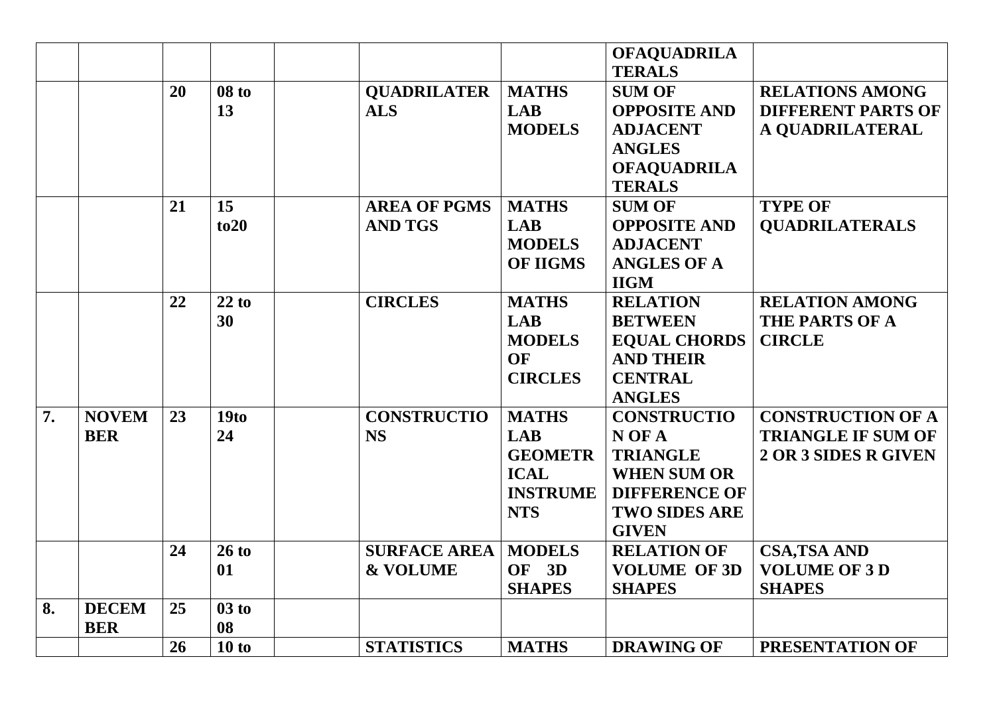|    |              |    |                  |                     |                 | <b>OFAQUADRILA</b>   |                           |
|----|--------------|----|------------------|---------------------|-----------------|----------------------|---------------------------|
|    |              |    |                  |                     |                 | <b>TERALS</b>        |                           |
|    |              | 20 | $08$ to          | <b>QUADRILATER</b>  | <b>MATHS</b>    | <b>SUM OF</b>        | <b>RELATIONS AMONG</b>    |
|    |              |    | 13               | <b>ALS</b>          | <b>LAB</b>      | <b>OPPOSITE AND</b>  | <b>DIFFERENT PARTS OF</b> |
|    |              |    |                  |                     | <b>MODELS</b>   | <b>ADJACENT</b>      | A QUADRILATERAL           |
|    |              |    |                  |                     |                 | <b>ANGLES</b>        |                           |
|    |              |    |                  |                     |                 | <b>OFAQUADRILA</b>   |                           |
|    |              |    |                  |                     |                 | <b>TERALS</b>        |                           |
|    |              | 21 | 15               | <b>AREA OF PGMS</b> | <b>MATHS</b>    | <b>SUM OF</b>        | <b>TYPE OF</b>            |
|    |              |    | to 20            | <b>AND TGS</b>      | <b>LAB</b>      | <b>OPPOSITE AND</b>  | <b>QUADRILATERALS</b>     |
|    |              |    |                  |                     | <b>MODELS</b>   | <b>ADJACENT</b>      |                           |
|    |              |    |                  |                     | <b>OF IIGMS</b> | <b>ANGLES OF A</b>   |                           |
|    |              |    |                  |                     |                 | <b>IIGM</b>          |                           |
|    |              | 22 | 22 to            | <b>CIRCLES</b>      | <b>MATHS</b>    | <b>RELATION</b>      | <b>RELATION AMONG</b>     |
|    |              |    | 30               |                     | <b>LAB</b>      | <b>BETWEEN</b>       | THE PARTS OF A            |
|    |              |    |                  |                     | <b>MODELS</b>   | <b>EQUAL CHORDS</b>  | <b>CIRCLE</b>             |
|    |              |    |                  |                     | <b>OF</b>       | <b>AND THEIR</b>     |                           |
|    |              |    |                  |                     | <b>CIRCLES</b>  | <b>CENTRAL</b>       |                           |
|    |              |    |                  |                     |                 | <b>ANGLES</b>        |                           |
| 7. | <b>NOVEM</b> | 23 | 19 <sub>to</sub> | <b>CONSTRUCTIO</b>  | <b>MATHS</b>    | <b>CONSTRUCTIO</b>   | <b>CONSTRUCTION OF A</b>  |
|    | <b>BER</b>   |    | 24               | <b>NS</b>           | <b>LAB</b>      | N OF A               | <b>TRIANGLE IF SUM OF</b> |
|    |              |    |                  |                     | <b>GEOMETR</b>  | <b>TRIANGLE</b>      | 2 OR 3 SIDES R GIVEN      |
|    |              |    |                  |                     | <b>ICAL</b>     | <b>WHEN SUM OR</b>   |                           |
|    |              |    |                  |                     | <b>INSTRUME</b> | <b>DIFFERENCE OF</b> |                           |
|    |              |    |                  |                     | <b>NTS</b>      | <b>TWO SIDES ARE</b> |                           |
|    |              |    |                  |                     |                 | <b>GIVEN</b>         |                           |
|    |              | 24 | 26 to            | <b>SURFACE AREA</b> | <b>MODELS</b>   | <b>RELATION OF</b>   | <b>CSA, TSA AND</b>       |
|    |              |    | 01               | <b>&amp; VOLUME</b> | OF<br>3D        | <b>VOLUME OF 3D</b>  | <b>VOLUME OF 3D</b>       |
|    |              |    |                  |                     | <b>SHAPES</b>   | <b>SHAPES</b>        | <b>SHAPES</b>             |
| 8. | <b>DECEM</b> | 25 | 03 to            |                     |                 |                      |                           |
|    | <b>BER</b>   |    | 08               |                     |                 |                      |                           |
|    |              | 26 | 10 to            | <b>STATISTICS</b>   | <b>MATHS</b>    | <b>DRAWING OF</b>    | PRESENTATION OF           |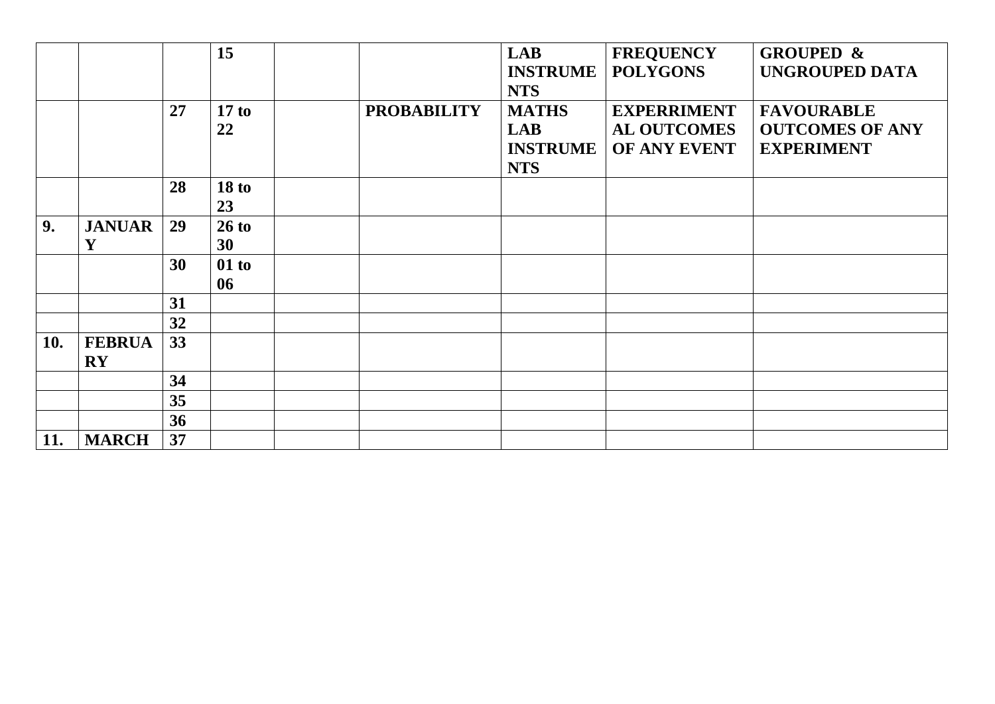|     |                                         |    | 15                     |                    | <b>LAB</b><br><b>INSTRUME</b><br><b>NTS</b>                 | <b>FREQUENCY</b><br><b>POLYGONS</b>                      | <b>GROUPED &amp;</b><br><b>UNGROUPED DATA</b>                    |
|-----|-----------------------------------------|----|------------------------|--------------------|-------------------------------------------------------------|----------------------------------------------------------|------------------------------------------------------------------|
|     |                                         | 27 | 17 to<br>22            | <b>PROBABILITY</b> | <b>MATHS</b><br><b>LAB</b><br><b>INSTRUME</b><br><b>NTS</b> | <b>EXPERRIMENT</b><br><b>AL OUTCOMES</b><br>OF ANY EVENT | <b>FAVOURABLE</b><br><b>OUTCOMES OF ANY</b><br><b>EXPERIMENT</b> |
|     |                                         | 28 | 18 <sub>to</sub><br>23 |                    |                                                             |                                                          |                                                                  |
| 9.  | <b>JANUAR</b><br>Y                      | 29 | 26 to<br>30            |                    |                                                             |                                                          |                                                                  |
|     |                                         | 30 | 01 to<br>06            |                    |                                                             |                                                          |                                                                  |
|     |                                         | 31 |                        |                    |                                                             |                                                          |                                                                  |
|     |                                         | 32 |                        |                    |                                                             |                                                          |                                                                  |
| 10. | <b>FEBRUA</b><br>$\mathbf{R}\mathbf{Y}$ | 33 |                        |                    |                                                             |                                                          |                                                                  |
|     |                                         | 34 |                        |                    |                                                             |                                                          |                                                                  |
|     |                                         | 35 |                        |                    |                                                             |                                                          |                                                                  |
|     |                                         | 36 |                        |                    |                                                             |                                                          |                                                                  |
| 11. | <b>MARCH</b>                            | 37 |                        |                    |                                                             |                                                          |                                                                  |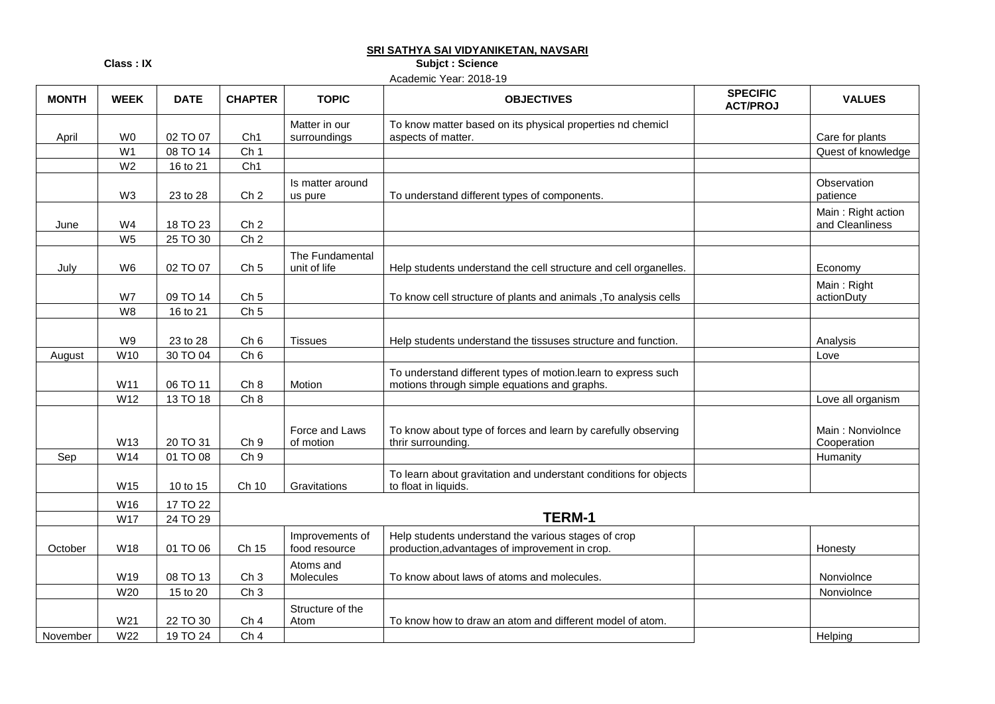#### **SRI SATHYA SAI VIDYANIKETAN, NAVSARI**

**Class : IX** Subjet : Science

Academic Year: 2018-19

| <b>MONTH</b> | <b>WEEK</b>    | <b>DATE</b> | <b>CHAPTER</b>  | <b>TOPIC</b>                     | <b>OBJECTIVES</b>                                                                                             | <b>SPECIFIC</b><br><b>ACT/PROJ</b> | <b>VALUES</b>                         |
|--------------|----------------|-------------|-----------------|----------------------------------|---------------------------------------------------------------------------------------------------------------|------------------------------------|---------------------------------------|
|              |                |             |                 | Matter in our                    | To know matter based on its physical properties nd chemicl                                                    |                                    |                                       |
| April        | W <sub>0</sub> | 02 TO 07    | Ch1             | surroundings                     | aspects of matter.                                                                                            |                                    | Care for plants                       |
|              | W <sub>1</sub> | 08 TO 14    | Ch <sub>1</sub> |                                  |                                                                                                               |                                    | Quest of knowledge                    |
|              | W <sub>2</sub> | 16 to 21    | Ch1             |                                  |                                                                                                               |                                    |                                       |
|              | W <sub>3</sub> | 23 to 28    | Ch <sub>2</sub> | Is matter around<br>us pure      | To understand different types of components.                                                                  |                                    | Observation<br>patience               |
| June         | W4             | 18 TO 23    | Ch <sub>2</sub> |                                  |                                                                                                               |                                    | Main: Right action<br>and Cleanliness |
|              | W <sub>5</sub> | 25 TO 30    | Ch <sub>2</sub> |                                  |                                                                                                               |                                    |                                       |
| July         | W <sub>6</sub> | 02 TO 07    | Ch <sub>5</sub> | The Fundamental<br>unit of life  | Help students understand the cell structure and cell organelles.                                              |                                    | Economy                               |
|              | W7             | 09 TO 14    | Ch <sub>5</sub> |                                  | To know cell structure of plants and animals , To analysis cells                                              |                                    | Main: Right<br>actionDuty             |
|              | W8             | 16 to 21    | Ch <sub>5</sub> |                                  |                                                                                                               |                                    |                                       |
|              | W9             | 23 to 28    | Ch 6            | <b>Tissues</b>                   | Help students understand the tissuses structure and function.                                                 |                                    | Analysis                              |
| August       | W10            | 30 TO 04    | Ch 6            |                                  |                                                                                                               |                                    | Love                                  |
|              | W11            | 06 TO 11    | Ch 8            | Motion                           | To understand different types of motion.learn to express such<br>motions through simple equations and graphs. |                                    |                                       |
|              | W12            | 13 TO 18    | Ch 8            |                                  |                                                                                                               |                                    | Love all organism                     |
|              | W13            | 20 TO 31    | Ch <sub>9</sub> | Force and Laws<br>of motion      | To know about type of forces and learn by carefully observing<br>thrir surrounding.                           |                                    | Main: Nonviolnce<br>Cooperation       |
| Sep          | W14            | 01 TO 08    | Ch <sub>9</sub> |                                  |                                                                                                               |                                    | Humanity                              |
|              | W15            | 10 to 15    | Ch 10           | Gravitations                     | To learn about gravitation and understant conditions for objects<br>to float in liquids.                      |                                    |                                       |
|              | W16            | 17 TO 22    |                 |                                  |                                                                                                               |                                    |                                       |
|              | W17            | 24 TO 29    |                 |                                  | <b>TERM-1</b>                                                                                                 |                                    |                                       |
| October      | W18            | 01 TO 06    | Ch 15           | Improvements of<br>food resource | Help students understand the various stages of crop<br>production, advantages of improvement in crop.         |                                    | Honesty                               |
|              | W19            | 08 TO 13    | Ch <sub>3</sub> | Atoms and<br>Molecules           | To know about laws of atoms and molecules.                                                                    |                                    | Nonviolnce                            |
|              | W20            | 15 to 20    | Ch <sub>3</sub> |                                  |                                                                                                               |                                    | Nonviolnce                            |
|              | W21            | 22 TO 30    | Ch <sub>4</sub> | Structure of the<br>Atom         | To know how to draw an atom and different model of atom.                                                      |                                    |                                       |
| November     | W22            | 19 TO 24    | Ch <sub>4</sub> |                                  |                                                                                                               |                                    | Helping                               |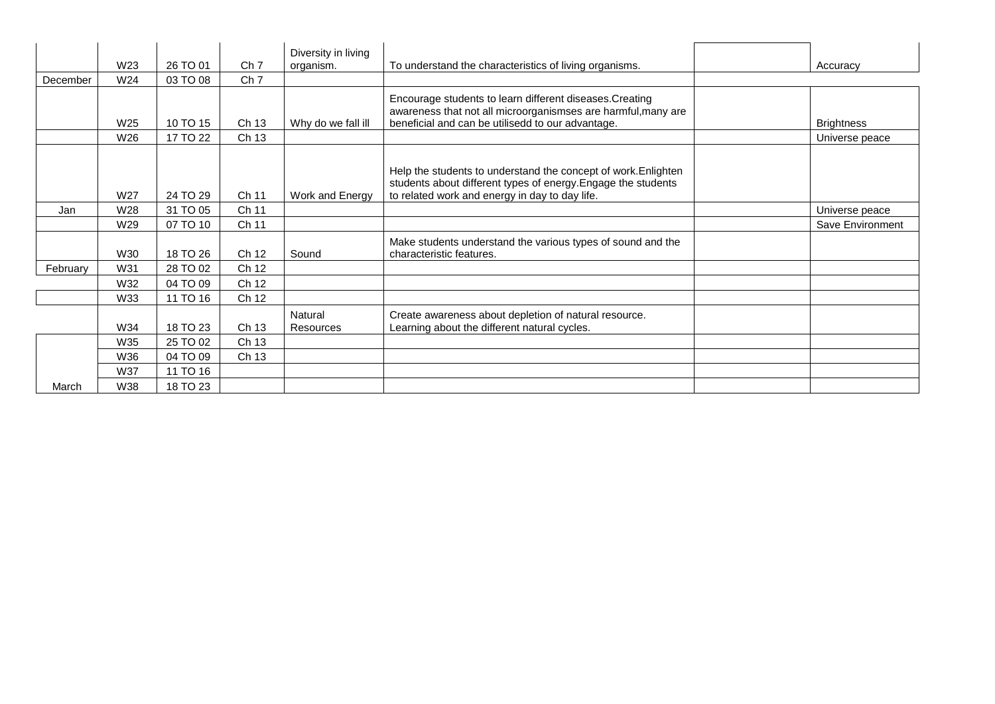|          | W23 | 26 TO 01 | Ch <sub>7</sub> | Diversity in living<br>organism. | To understand the characteristics of living organisms.                                                                                                                            | Accuracy          |
|----------|-----|----------|-----------------|----------------------------------|-----------------------------------------------------------------------------------------------------------------------------------------------------------------------------------|-------------------|
| December | W24 |          |                 |                                  |                                                                                                                                                                                   |                   |
|          |     | 03 TO 08 | Ch <sub>7</sub> |                                  |                                                                                                                                                                                   |                   |
|          | W25 | 10 TO 15 | Ch 13           | Why do we fall ill               | Encourage students to learn different diseases. Creating<br>awareness that not all microorganismses are harmful, many are<br>beneficial and can be utilisedd to our advantage.    | <b>Brightness</b> |
|          | W26 | 17 TO 22 | Ch 13           |                                  |                                                                                                                                                                                   | Universe peace    |
|          |     |          |                 |                                  |                                                                                                                                                                                   |                   |
|          | W27 | 24 TO 29 | Ch 11           | Work and Energy                  | Help the students to understand the concept of work. Enlighten<br>students about different types of energy. Engage the students<br>to related work and energy in day to day life. |                   |
| Jan      | W28 | 31 TO 05 | Ch 11           |                                  |                                                                                                                                                                                   | Universe peace    |
|          | W29 | 07 TO 10 | Ch 11           |                                  |                                                                                                                                                                                   | Save Environment  |
|          | W30 | 18 TO 26 | Ch 12           | Sound                            | Make students understand the various types of sound and the<br>characteristic features.                                                                                           |                   |
| February | W31 | 28 TO 02 | Ch 12           |                                  |                                                                                                                                                                                   |                   |
|          | W32 | 04 TO 09 | Ch 12           |                                  |                                                                                                                                                                                   |                   |
|          | W33 | 11 TO 16 | Ch 12           |                                  |                                                                                                                                                                                   |                   |
|          | W34 | 18 TO 23 | Ch 13           | Natural<br>Resources             | Create awareness about depletion of natural resource.<br>Learning about the different natural cycles.                                                                             |                   |
|          | W35 | 25 TO 02 | Ch 13           |                                  |                                                                                                                                                                                   |                   |
|          | W36 | 04 TO 09 | Ch 13           |                                  |                                                                                                                                                                                   |                   |
|          | W37 | 11 TO 16 |                 |                                  |                                                                                                                                                                                   |                   |
| March    | W38 | 18 TO 23 |                 |                                  |                                                                                                                                                                                   |                   |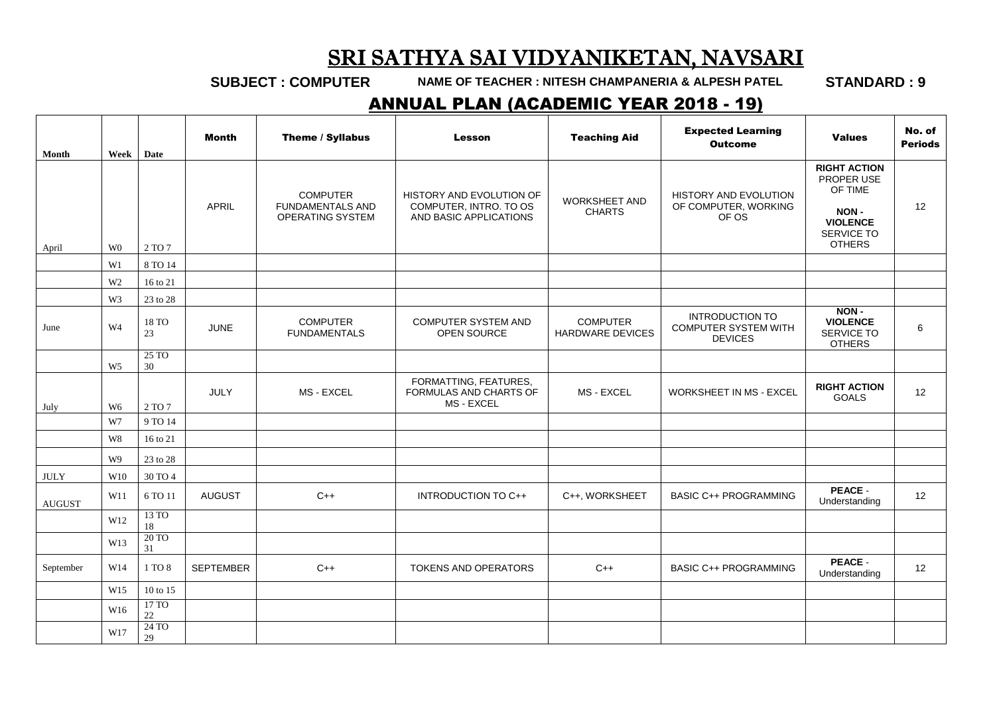### SRI SATHYA SAI VIDYANIKETAN, NAVSARI

**SUBJECT : COMPUTER NAME OF TEACHER : NITESH CHAMPANERIA & ALPESH PATEL STANDARD : 9**

#### ANNUAL PLAN (ACADEMIC YEAR 2018 - 19)

| Month         | Week            | Date                    | <b>Month</b>     | Theme / Syllabus                                                      | <b>Lesson</b>                                                                | <b>Teaching Aid</b>                        | <b>Expected Learning</b><br><b>Outcome</b>                              | <b>Values</b>                                                                                          | No. of<br><b>Periods</b> |
|---------------|-----------------|-------------------------|------------------|-----------------------------------------------------------------------|------------------------------------------------------------------------------|--------------------------------------------|-------------------------------------------------------------------------|--------------------------------------------------------------------------------------------------------|--------------------------|
| April         | W <sub>0</sub>  | 2 TO 7                  | APRIL            | <b>COMPUTER</b><br><b>FUNDAMENTALS AND</b><br><b>OPERATING SYSTEM</b> | HISTORY AND EVOLUTION OF<br>COMPUTER, INTRO. TO OS<br>AND BASIC APPLICATIONS | <b>WORKSHEET AND</b><br><b>CHARTS</b>      | <b>HISTORY AND EVOLUTION</b><br>OF COMPUTER, WORKING<br>OF OS           | <b>RIGHT ACTION</b><br>PROPER USE<br>OF TIME<br>NON-<br><b>VIOLENCE</b><br>SERVICE TO<br><b>OTHERS</b> | 12                       |
|               | W1              | 8 TO 14                 |                  |                                                                       |                                                                              |                                            |                                                                         |                                                                                                        |                          |
|               | W <sub>2</sub>  | 16 to 21                |                  |                                                                       |                                                                              |                                            |                                                                         |                                                                                                        |                          |
|               | W3              | 23 to 28                |                  |                                                                       |                                                                              |                                            |                                                                         |                                                                                                        |                          |
| June          | W <sub>4</sub>  | 18 TO<br>23             | <b>JUNE</b>      | <b>COMPUTER</b><br><b>FUNDAMENTALS</b>                                | <b>COMPUTER SYSTEM AND</b><br>OPEN SOURCE                                    | <b>COMPUTER</b><br><b>HARDWARE DEVICES</b> | <b>INTRODUCTION TO</b><br><b>COMPUTER SYSTEM WITH</b><br><b>DEVICES</b> | NON-<br><b>VIOLENCE</b><br>SERVICE TO<br><b>OTHERS</b>                                                 | 6                        |
|               | W <sub>5</sub>  | 25T <sub>O</sub><br>30  |                  |                                                                       |                                                                              |                                            |                                                                         |                                                                                                        |                          |
| July          | W <sub>6</sub>  | 2 TO 7                  | <b>JULY</b>      | MS - EXCEL                                                            | FORMATTING, FEATURES,<br>FORMULAS AND CHARTS OF<br>MS - EXCEL                | MS - EXCEL                                 | WORKSHEET IN MS - EXCEL                                                 | <b>RIGHT ACTION</b><br><b>GOALS</b>                                                                    | 12                       |
|               | W7              | 9 TO 14                 |                  |                                                                       |                                                                              |                                            |                                                                         |                                                                                                        |                          |
|               | $\,$ W8 $\,$    | 16 to 21                |                  |                                                                       |                                                                              |                                            |                                                                         |                                                                                                        |                          |
|               | W9              | 23 to 28                |                  |                                                                       |                                                                              |                                            |                                                                         |                                                                                                        |                          |
| <b>JULY</b>   | W10             | 30 TO 4                 |                  |                                                                       |                                                                              |                                            |                                                                         |                                                                                                        |                          |
| <b>AUGUST</b> | W11             | 6 TO 11                 | <b>AUGUST</b>    | $C++$                                                                 | INTRODUCTION TO C++                                                          | C++, WORKSHEET                             | <b>BASIC C++ PROGRAMMING</b>                                            | <b>PEACE -</b><br>Understanding                                                                        | 12                       |
|               | W12             | 13 TO<br>$18\,$         |                  |                                                                       |                                                                              |                                            |                                                                         |                                                                                                        |                          |
|               | W13             | $20\,\mathrm{TO}$<br>31 |                  |                                                                       |                                                                              |                                            |                                                                         |                                                                                                        |                          |
| September     | W14             | 1 TO 8                  | <b>SEPTEMBER</b> | $C++$                                                                 | TOKENS AND OPERATORS                                                         | $C++$                                      | <b>BASIC C++ PROGRAMMING</b>                                            | <b>PEACE</b><br>Understanding                                                                          | 12                       |
|               | W15             | 10 to 15                |                  |                                                                       |                                                                              |                                            |                                                                         |                                                                                                        |                          |
|               | W <sub>16</sub> | 17 TO<br>22             |                  |                                                                       |                                                                              |                                            |                                                                         |                                                                                                        |                          |
|               | W17             | 24 TO<br>29             |                  |                                                                       |                                                                              |                                            |                                                                         |                                                                                                        |                          |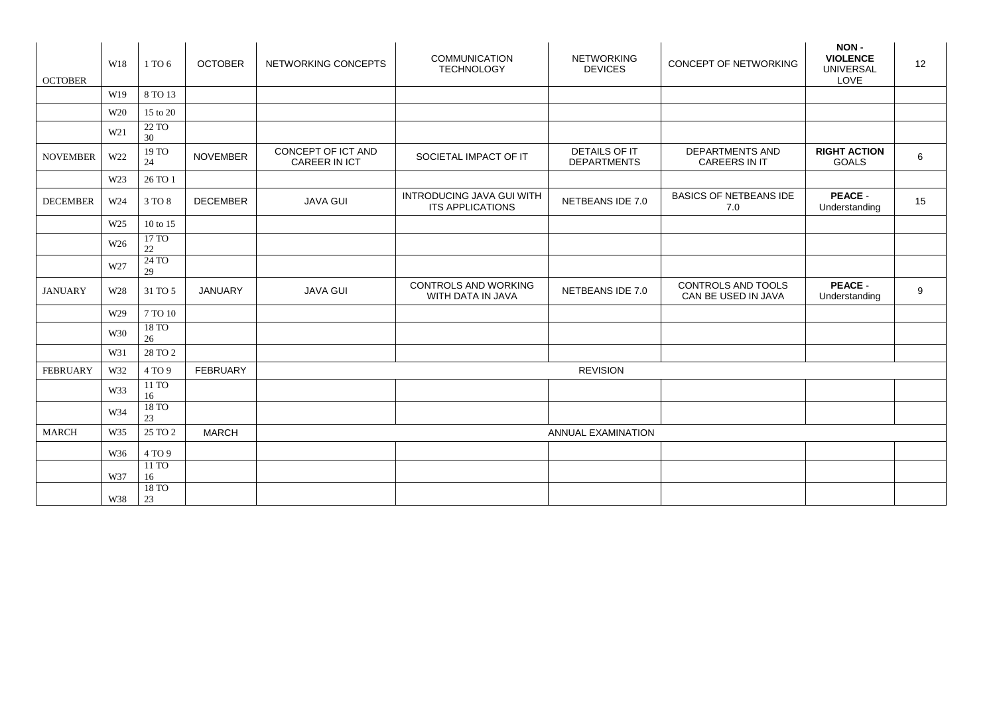| <b>OCTOBER</b>  | W18             | 1 TO 6                  | <b>OCTOBER</b>  | NETWORKING CONCEPTS                        | <b>COMMUNICATION</b><br><b>TECHNOLOGY</b>            | <b>NETWORKING</b><br><b>DEVICES</b>        | CONCEPT OF NETWORKING                          | NON-<br><b>VIOLENCE</b><br><b>UNIVERSAL</b><br>LOVE | 12 |
|-----------------|-----------------|-------------------------|-----------------|--------------------------------------------|------------------------------------------------------|--------------------------------------------|------------------------------------------------|-----------------------------------------------------|----|
|                 | W19             | 8 TO 13                 |                 |                                            |                                                      |                                            |                                                |                                                     |    |
|                 | W20             | 15 to 20                |                 |                                            |                                                      |                                            |                                                |                                                     |    |
|                 | W21             | 22 TO<br>30             |                 |                                            |                                                      |                                            |                                                |                                                     |    |
| <b>NOVEMBER</b> | W22             | $19\,\mathrm{TO}$<br>24 | <b>NOVEMBER</b> | CONCEPT OF ICT AND<br><b>CAREER IN ICT</b> | SOCIETAL IMPACT OF IT                                | <b>DETAILS OF IT</b><br><b>DEPARTMENTS</b> | <b>DEPARTMENTS AND</b><br><b>CAREERS IN IT</b> | <b>RIGHT ACTION</b><br><b>GOALS</b>                 | 6  |
|                 | W23             | 26 TO 1                 |                 |                                            |                                                      |                                            |                                                |                                                     |    |
| <b>DECEMBER</b> | W24             | 3 TO 8                  | <b>DECEMBER</b> | <b>JAVA GUI</b>                            | <b>INTRODUCING JAVA GUI WITH</b><br>ITS APPLICATIONS | NETBEANS IDE 7.0                           | <b>BASICS OF NETBEANS IDE</b><br>7.0           | PEACE -<br>Understanding                            | 15 |
|                 | W <sub>25</sub> | 10 to 15                |                 |                                            |                                                      |                                            |                                                |                                                     |    |
|                 | W26             | 17 TO<br>$22\,$         |                 |                                            |                                                      |                                            |                                                |                                                     |    |
|                 | W27             | 24 TO<br>29             |                 |                                            |                                                      |                                            |                                                |                                                     |    |
| <b>JANUARY</b>  | W28             | 31 TO 5                 | <b>JANUARY</b>  | <b>JAVA GUI</b>                            | <b>CONTROLS AND WORKING</b><br>WITH DATA IN JAVA     | NETBEANS IDE 7.0                           | CONTROLS AND TOOLS<br>CAN BE USED IN JAVA      | PEACE -<br>Understanding                            | 9  |
|                 | W29             | 7 TO 10                 |                 |                                            |                                                      |                                            |                                                |                                                     |    |
|                 | W30             | 18 TO<br>26             |                 |                                            |                                                      |                                            |                                                |                                                     |    |
|                 | W31             | 28 TO 2                 |                 |                                            |                                                      |                                            |                                                |                                                     |    |
| <b>FEBRUARY</b> | W32             | 4 TO 9                  | <b>FEBRUARY</b> | <b>REVISION</b>                            |                                                      |                                            |                                                |                                                     |    |
|                 | W33             | 11 TO<br>16             |                 |                                            |                                                      |                                            |                                                |                                                     |    |
|                 | W34             | 18 TO<br>23             |                 |                                            |                                                      |                                            |                                                |                                                     |    |
| <b>MARCH</b>    | W35             | 25 TO 2                 | <b>MARCH</b>    | <b>ANNUAL EXAMINATION</b>                  |                                                      |                                            |                                                |                                                     |    |
|                 | W36             | 4 TO 9                  |                 |                                            |                                                      |                                            |                                                |                                                     |    |
|                 |                 | 11 TO                   |                 |                                            |                                                      |                                            |                                                |                                                     |    |
|                 | W37             | 16<br>18 TO             |                 |                                            |                                                      |                                            |                                                |                                                     |    |
|                 | W38             | 23                      |                 |                                            |                                                      |                                            |                                                |                                                     |    |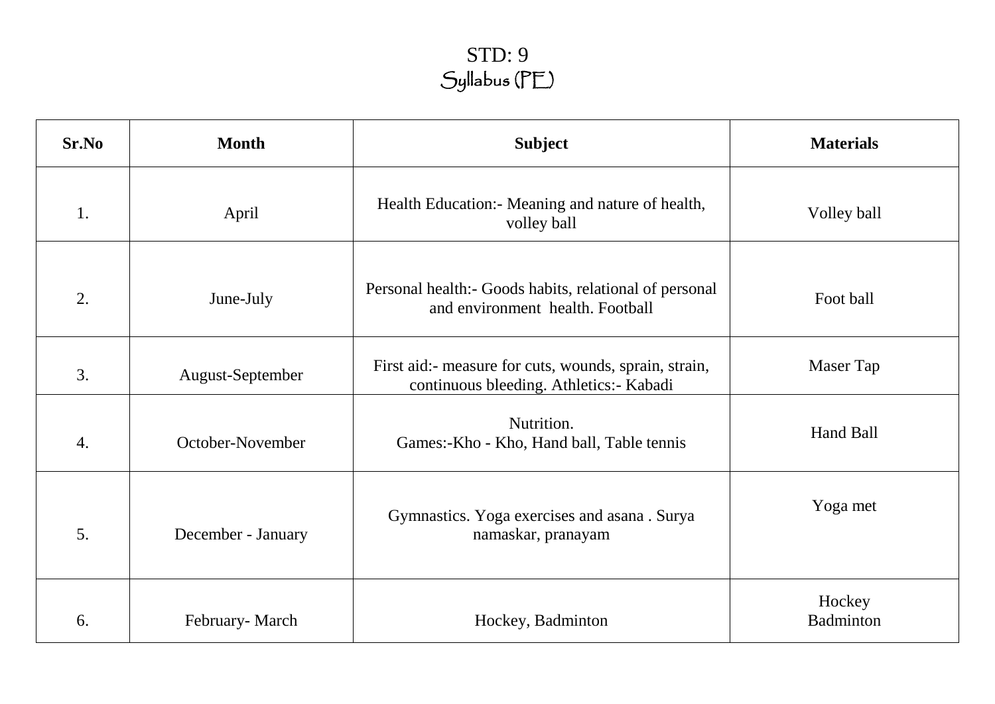# STD: 9 Syllabus (PE)

| Sr.No            | <b>Month</b>       | <b>Subject</b>                                                                                   | <b>Materials</b>    |
|------------------|--------------------|--------------------------------------------------------------------------------------------------|---------------------|
| 1.               | April              | Health Education: Meaning and nature of health,<br>volley ball                                   | Volley ball         |
| 2.               | June-July          | Personal health: - Goods habits, relational of personal<br>and environment health. Football      | Foot ball           |
| 3.               | August-September   | First aid:- measure for cuts, wounds, sprain, strain,<br>continuous bleeding. Athletics:- Kabadi | Maser Tap           |
| $\overline{4}$ . | October-November   | Nutrition.<br>Games:-Kho - Kho, Hand ball, Table tennis                                          | Hand Ball           |
| 5.               | December - January | Gymnastics. Yoga exercises and asana. Surya<br>namaskar, pranayam                                | Yoga met            |
| 6.               | February-March     | Hockey, Badminton                                                                                | Hockey<br>Badminton |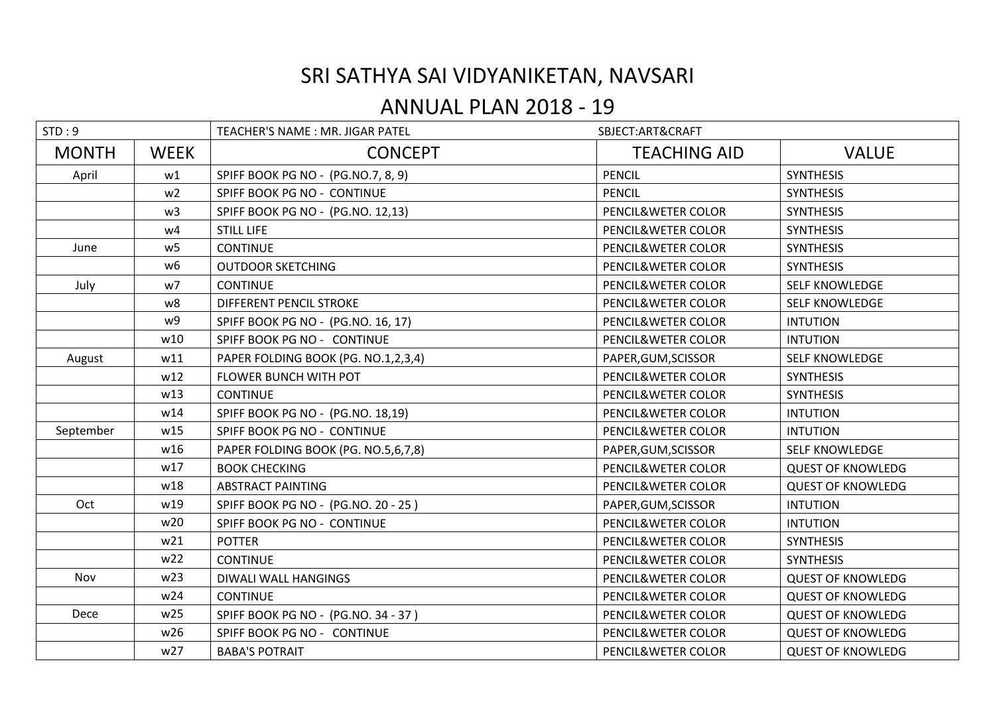## SRI SATHYA SAI VIDYANIKETAN, NAVSARI

## ANNUAL PLAN 2018 - 19

| STD:9        |                | TEACHER'S NAME: MR. JIGAR PATEL     | SBJECT:ART&CRAFT    |                          |
|--------------|----------------|-------------------------------------|---------------------|--------------------------|
| <b>MONTH</b> | <b>WEEK</b>    | <b>CONCEPT</b>                      | <b>TEACHING AID</b> | <b>VALUE</b>             |
| April        | w1             | SPIFF BOOK PG NO - (PG.NO.7, 8, 9)  | <b>PENCIL</b>       | <b>SYNTHESIS</b>         |
|              | w <sub>2</sub> | SPIFF BOOK PG NO - CONTINUE         | <b>PENCIL</b>       | <b>SYNTHESIS</b>         |
|              | w <sub>3</sub> | SPIFF BOOK PG NO - (PG.NO. 12,13)   | PENCIL&WETER COLOR  | <b>SYNTHESIS</b>         |
|              | w4             | <b>STILL LIFE</b>                   | PENCIL&WETER COLOR  | <b>SYNTHESIS</b>         |
| June         | W <sub>5</sub> | <b>CONTINUE</b>                     | PENCIL&WETER COLOR  | <b>SYNTHESIS</b>         |
|              | w <sub>6</sub> | <b>OUTDOOR SKETCHING</b>            | PENCIL&WETER COLOR  | <b>SYNTHESIS</b>         |
| July         | w7             | <b>CONTINUE</b>                     | PENCIL&WETER COLOR  | <b>SELF KNOWLEDGE</b>    |
|              | w8             | <b>DIFFERENT PENCIL STROKE</b>      | PENCIL&WETER COLOR  | <b>SELF KNOWLEDGE</b>    |
|              | w9             | SPIFF BOOK PG NO - (PG.NO. 16, 17)  | PENCIL&WETER COLOR  | <b>INTUTION</b>          |
|              | w10            | SPIFF BOOK PG NO - CONTINUE         | PENCIL&WETER COLOR  | <b>INTUTION</b>          |
| August       | w11            | PAPER FOLDING BOOK (PG. NO.1,2,3,4) | PAPER, GUM, SCISSOR | <b>SELF KNOWLEDGE</b>    |
|              | w12            | FLOWER BUNCH WITH POT               | PENCIL&WETER COLOR  | <b>SYNTHESIS</b>         |
|              | w13            | <b>CONTINUE</b>                     | PENCIL&WETER COLOR  | <b>SYNTHESIS</b>         |
|              | w14            | SPIFF BOOK PG NO - (PG.NO. 18,19)   | PENCIL&WETER COLOR  | <b>INTUTION</b>          |
| September    | w15            | SPIFF BOOK PG NO - CONTINUE         | PENCIL&WETER COLOR  | <b>INTUTION</b>          |
|              | w16            | PAPER FOLDING BOOK (PG. NO.5,6,7,8) | PAPER, GUM, SCISSOR | SELF KNOWLEDGE           |
|              | w17            | <b>BOOK CHECKING</b>                | PENCIL&WETER COLOR  | <b>QUEST OF KNOWLEDG</b> |
|              | w18            | <b>ABSTRACT PAINTING</b>            | PENCIL&WETER COLOR  | <b>QUEST OF KNOWLEDG</b> |
| Oct          | w19            | SPIFF BOOK PG NO - (PG.NO. 20 - 25) | PAPER, GUM, SCISSOR | <b>INTUTION</b>          |
|              | w20            | SPIFF BOOK PG NO - CONTINUE         | PENCIL&WETER COLOR  | <b>INTUTION</b>          |
|              | w21            | <b>POTTER</b>                       | PENCIL&WETER COLOR  | <b>SYNTHESIS</b>         |
|              | w22            | <b>CONTINUE</b>                     | PENCIL&WETER COLOR  | <b>SYNTHESIS</b>         |
| Nov          | w23            | DIWALI WALL HANGINGS                | PENCIL&WETER COLOR  | <b>QUEST OF KNOWLEDG</b> |
|              | w24            | <b>CONTINUE</b>                     | PENCIL&WETER COLOR  | <b>QUEST OF KNOWLEDG</b> |
| Dece         | w25            | SPIFF BOOK PG NO - (PG.NO. 34 - 37) | PENCIL&WETER COLOR  | <b>QUEST OF KNOWLEDG</b> |
|              | w26            | SPIFF BOOK PG NO - CONTINUE         | PENCIL&WETER COLOR  | <b>QUEST OF KNOWLEDG</b> |
|              | w27            | <b>BABA'S POTRAIT</b>               | PENCIL&WETER COLOR  | <b>QUEST OF KNOWLEDG</b> |